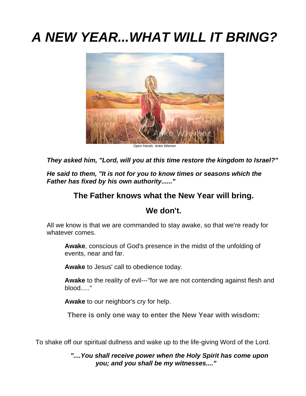## *A NEW YEAR...WHAT WILL IT BRING?*



*Open Hands Anke Wiemer*

*They asked him, "Lord, will you at this time restore the kingdom to Israel?"*

*He said to them, "It is not for you to know times or seasons which the Father has fixed by his own authority......"*

## **The Father knows what the New Year will bring.**

## **We don't.**

All we know is that we are commanded to stay awake, so that we're ready for whatever comes.

**Awake**, conscious of God's presence in the midst of the unfolding of events, near and far.

**Awake** to Jesus' call to obedience today.

**Awake** to the reality of evil---"for we are not contending against flesh and blood....."

**Awake** to our neighbor's cry for help.

**There is only one way to enter the New Year with wisdom:**

To shake off our spiritual dullness and wake up to the life-giving Word of the Lord.

 *"....You shall receive power when the Holy Spirit has come upon you; and you shall be my witnesses...."*